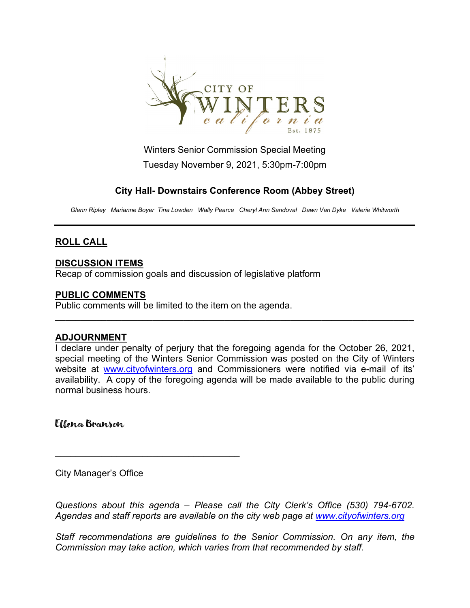

Winters Senior Commission Special Meeting Tuesday November 9, 2021, 5:30pm-7:00pm

## **City Hall- Downstairs Conference Room (Abbey Street)**

*Glenn Ripley Marianne Boyer Tina Lowden Wally Pearce Cheryl Ann Sandoval Dawn Van Dyke Valerie Whitworth*

# **ROLL CALL**

### **DISCUSSION ITEMS**

Recap of commission goals and discussion of legislative platform

#### **PUBLIC COMMENTS**

Public comments will be limited to the item on the agenda.

#### **ADJOURNMENT**

I declare under penalty of perjury that the foregoing agenda for the October 26, 2021, special meeting of the Winters Senior Commission was posted on the City of Winters website at [www.cityofwinters.org](http://www.cityofwinters.org/) and Commissioners were notified via e-mail of its' availability. A copy of the foregoing agenda will be made available to the public during normal business hours.

**\_\_\_\_\_\_\_\_\_\_\_\_\_\_\_\_\_\_\_\_\_\_\_\_\_\_\_\_\_\_\_\_\_\_\_\_\_\_\_\_\_\_\_\_\_\_\_\_\_\_\_\_\_\_\_\_\_\_\_\_\_\_\_\_\_\_\_\_\_\_**

Ellena Branson

City Manager's Office

\_\_\_\_\_\_\_\_\_\_\_\_\_\_\_\_\_\_\_\_\_\_\_\_\_\_\_\_\_\_\_\_\_\_\_\_

*Questions about this agenda – Please call the City Clerk's Office (530) 794-6702. Agendas and staff reports are available on the city web page at [www.cityofwinters.org](http://www.cityofwinters.org/)*

*Staff recommendations are guidelines to the Senior Commission. On any item, the Commission may take action, which varies from that recommended by staff.*